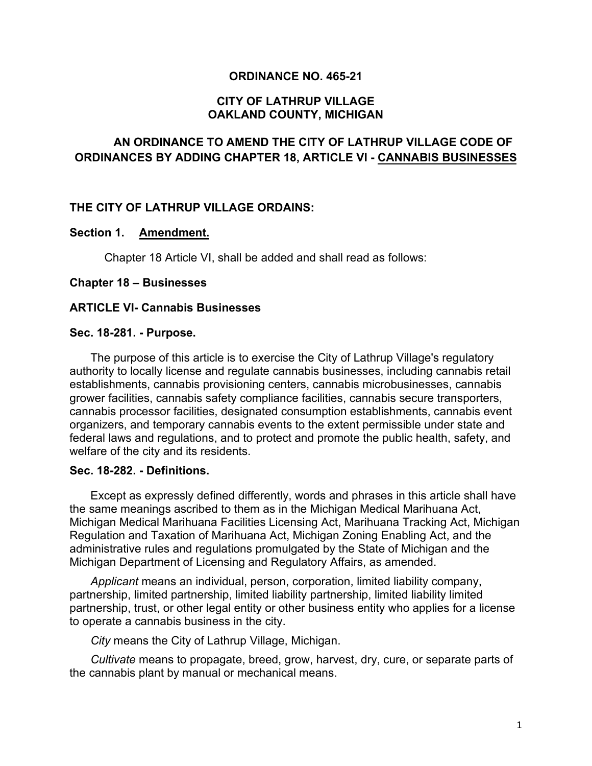### **ORDINANCE NO. 465-21**

### **CITY OF LATHRUP VILLAGE OAKLAND COUNTY, MICHIGAN**

# **AN ORDINANCE TO AMEND THE CITY OF LATHRUP VILLAGE CODE OF ORDINANCES BY ADDING CHAPTER 18, ARTICLE VI - CANNABIS BUSINESSES**

### **THE CITY OF LATHRUP VILLAGE ORDAINS:**

#### **Section 1. Amendment.**

Chapter 18 Article VI, shall be added and shall read as follows:

#### **Chapter 18 – Businesses**

#### **ARTICLE VI- Cannabis Businesses**

#### **Sec. 18-281. - Purpose.**

The purpose of this article is to exercise the City of Lathrup Village's regulatory authority to locally license and regulate cannabis businesses, including cannabis retail establishments, cannabis provisioning centers, cannabis microbusinesses, cannabis grower facilities, cannabis safety compliance facilities, cannabis secure transporters, cannabis processor facilities, designated consumption establishments, cannabis event organizers, and temporary cannabis events to the extent permissible under state and federal laws and regulations, and to protect and promote the public health, safety, and welfare of the city and its residents.

#### **Sec. 18-282. - Definitions.**

Except as expressly defined differently, words and phrases in this article shall have the same meanings ascribed to them as in the Michigan Medical Marihuana Act, Michigan Medical Marihuana Facilities Licensing Act, Marihuana Tracking Act, Michigan Regulation and Taxation of Marihuana Act, Michigan Zoning Enabling Act, and the administrative rules and regulations promulgated by the State of Michigan and the Michigan Department of Licensing and Regulatory Affairs, as amended.

*Applicant* means an individual, person, corporation, limited liability company, partnership, limited partnership, limited liability partnership, limited liability limited partnership, trust, or other legal entity or other business entity who applies for a license to operate a cannabis business in the city.

*City* means the City of Lathrup Village, Michigan.

*Cultivate* means to propagate, breed, grow, harvest, dry, cure, or separate parts of the cannabis plant by manual or mechanical means.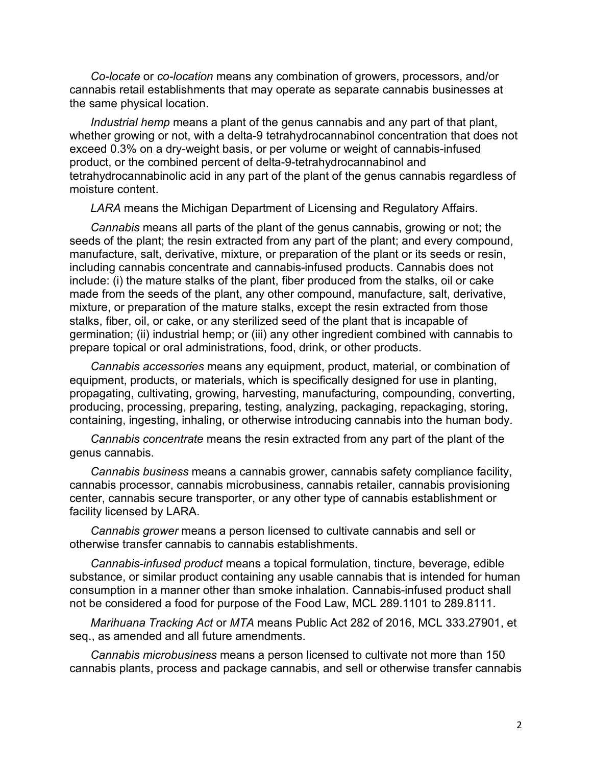*Co-locate* or *co-location* means any combination of growers, processors, and/or cannabis retail establishments that may operate as separate cannabis businesses at the same physical location.

*Industrial hemp* means a plant of the genus cannabis and any part of that plant, whether growing or not, with a delta-9 tetrahydrocannabinol concentration that does not exceed 0.3% on a dry-weight basis, or per volume or weight of cannabis-infused product, or the combined percent of delta-9-tetrahydrocannabinol and tetrahydrocannabinolic acid in any part of the plant of the genus cannabis regardless of moisture content.

*LARA* means the Michigan Department of Licensing and Regulatory Affairs.

*Cannabis* means all parts of the plant of the genus cannabis, growing or not; the seeds of the plant; the resin extracted from any part of the plant; and every compound, manufacture, salt, derivative, mixture, or preparation of the plant or its seeds or resin, including cannabis concentrate and cannabis-infused products. Cannabis does not include: (i) the mature stalks of the plant, fiber produced from the stalks, oil or cake made from the seeds of the plant, any other compound, manufacture, salt, derivative, mixture, or preparation of the mature stalks, except the resin extracted from those stalks, fiber, oil, or cake, or any sterilized seed of the plant that is incapable of germination; (ii) industrial hemp; or (iii) any other ingredient combined with cannabis to prepare topical or oral administrations, food, drink, or other products.

*Cannabis accessories* means any equipment, product, material, or combination of equipment, products, or materials, which is specifically designed for use in planting, propagating, cultivating, growing, harvesting, manufacturing, compounding, converting, producing, processing, preparing, testing, analyzing, packaging, repackaging, storing, containing, ingesting, inhaling, or otherwise introducing cannabis into the human body.

*Cannabis concentrate* means the resin extracted from any part of the plant of the genus cannabis.

*Cannabis business* means a cannabis grower, cannabis safety compliance facility, cannabis processor, cannabis microbusiness, cannabis retailer, cannabis provisioning center, cannabis secure transporter, or any other type of cannabis establishment or facility licensed by LARA.

*Cannabis grower* means a person licensed to cultivate cannabis and sell or otherwise transfer cannabis to cannabis establishments.

*Cannabis-infused product* means a topical formulation, tincture, beverage, edible substance, or similar product containing any usable cannabis that is intended for human consumption in a manner other than smoke inhalation. Cannabis-infused product shall not be considered a food for purpose of the Food Law, MCL 289.1101 to 289.8111.

*Marihuana Tracking Act* or *MTA* means Public Act 282 of 2016, MCL 333.27901, et seq., as amended and all future amendments.

*Cannabis microbusiness* means a person licensed to cultivate not more than 150 cannabis plants, process and package cannabis, and sell or otherwise transfer cannabis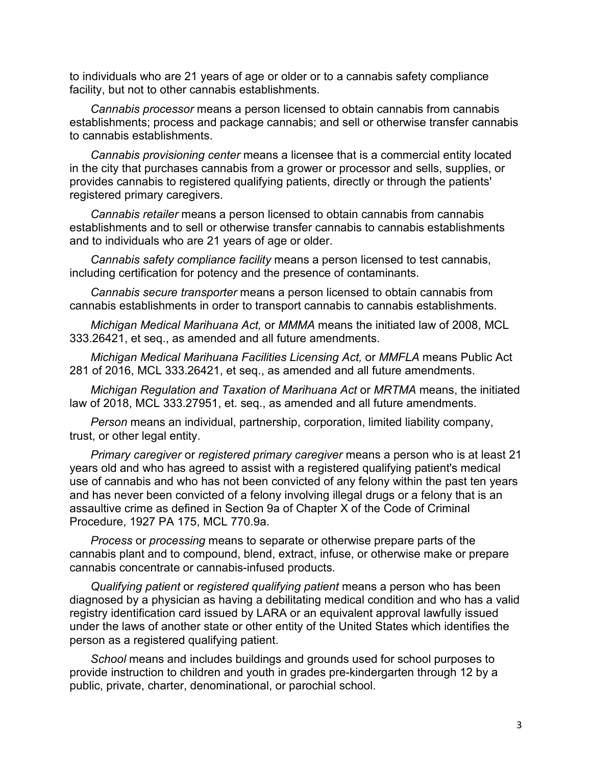to individuals who are 21 years of age or older or to a cannabis safety compliance facility, but not to other cannabis establishments.

*Cannabis processor* means a person licensed to obtain cannabis from cannabis establishments; process and package cannabis; and sell or otherwise transfer cannabis to cannabis establishments.

*Cannabis provisioning center* means a licensee that is a commercial entity located in the city that purchases cannabis from a grower or processor and sells, supplies, or provides cannabis to registered qualifying patients, directly or through the patients' registered primary caregivers.

*Cannabis retailer* means a person licensed to obtain cannabis from cannabis establishments and to sell or otherwise transfer cannabis to cannabis establishments and to individuals who are 21 years of age or older.

*Cannabis safety compliance facility* means a person licensed to test cannabis, including certification for potency and the presence of contaminants.

*Cannabis secure transporter* means a person licensed to obtain cannabis from cannabis establishments in order to transport cannabis to cannabis establishments.

*Michigan Medical Marihuana Act,* or *MMMA* means the initiated law of 2008, MCL 333.26421, et seq., as amended and all future amendments.

*Michigan Medical Marihuana Facilities Licensing Act,* or *MMFLA* means Public Act 281 of 2016, MCL 333.26421, et seq., as amended and all future amendments.

*Michigan Regulation and Taxation of Marihuana Act* or *MRTMA* means, the initiated law of 2018, MCL 333.27951, et. seq., as amended and all future amendments.

*Person* means an individual, partnership, corporation, limited liability company, trust, or other legal entity.

*Primary caregiver* or *registered primary caregiver* means a person who is at least 21 years old and who has agreed to assist with a registered qualifying patient's medical use of cannabis and who has not been convicted of any felony within the past ten years and has never been convicted of a felony involving illegal drugs or a felony that is an assaultive crime as defined in Section 9a of Chapter X of the Code of Criminal Procedure, 1927 PA 175, MCL 770.9a.

*Process* or *processing* means to separate or otherwise prepare parts of the cannabis plant and to compound, blend, extract, infuse, or otherwise make or prepare cannabis concentrate or cannabis-infused products.

*Qualifying patient* or *registered qualifying patient* means a person who has been diagnosed by a physician as having a debilitating medical condition and who has a valid registry identification card issued by LARA or an equivalent approval lawfully issued under the laws of another state or other entity of the United States which identifies the person as a registered qualifying patient.

*School* means and includes buildings and grounds used for school purposes to provide instruction to children and youth in grades pre-kindergarten through 12 by a public, private, charter, denominational, or parochial school.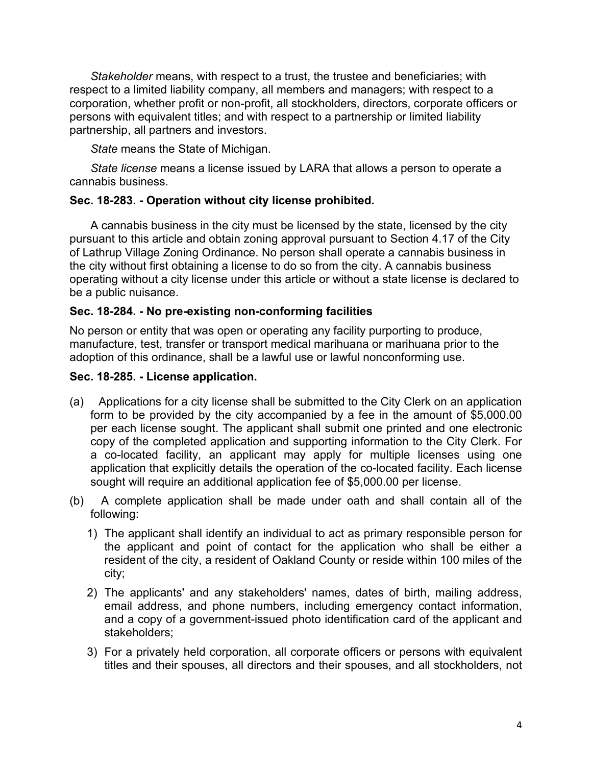*Stakeholder* means, with respect to a trust, the trustee and beneficiaries; with respect to a limited liability company, all members and managers; with respect to a corporation, whether profit or non-profit, all stockholders, directors, corporate officers or persons with equivalent titles; and with respect to a partnership or limited liability partnership, all partners and investors.

*State* means the State of Michigan.

*State license* means a license issued by LARA that allows a person to operate a cannabis business.

## **Sec. 18-283. - Operation without city license prohibited.**

A cannabis business in the city must be licensed by the state, licensed by the city pursuant to this article and obtain zoning approval pursuant to Section 4.17 of the City of Lathrup Village Zoning Ordinance. No person shall operate a cannabis business in the city without first obtaining a license to do so from the city. A cannabis business operating without a city license under this article or without a state license is declared to be a public nuisance.

## **Sec. 18-284. - No pre-existing non-conforming facilities**

No person or entity that was open or operating any facility purporting to produce, manufacture, test, transfer or transport medical marihuana or marihuana prior to the adoption of this ordinance, shall be a lawful use or lawful nonconforming use.

## **Sec. 18-285. - License application.**

- (a) Applications for a city license shall be submitted to the City Clerk on an application form to be provided by the city accompanied by a fee in the amount of \$5,000.00 per each license sought. The applicant shall submit one printed and one electronic copy of the completed application and supporting information to the City Clerk. For a co-located facility, an applicant may apply for multiple licenses using one application that explicitly details the operation of the co-located facility. Each license sought will require an additional application fee of \$5,000.00 per license.
- (b) A complete application shall be made under oath and shall contain all of the following:
	- 1) The applicant shall identify an individual to act as primary responsible person for the applicant and point of contact for the application who shall be either a resident of the city, a resident of Oakland County or reside within 100 miles of the city;
	- 2) The applicants' and any stakeholders' names, dates of birth, mailing address, email address, and phone numbers, including emergency contact information, and a copy of a government-issued photo identification card of the applicant and stakeholders;
	- 3) For a privately held corporation, all corporate officers or persons with equivalent titles and their spouses, all directors and their spouses, and all stockholders, not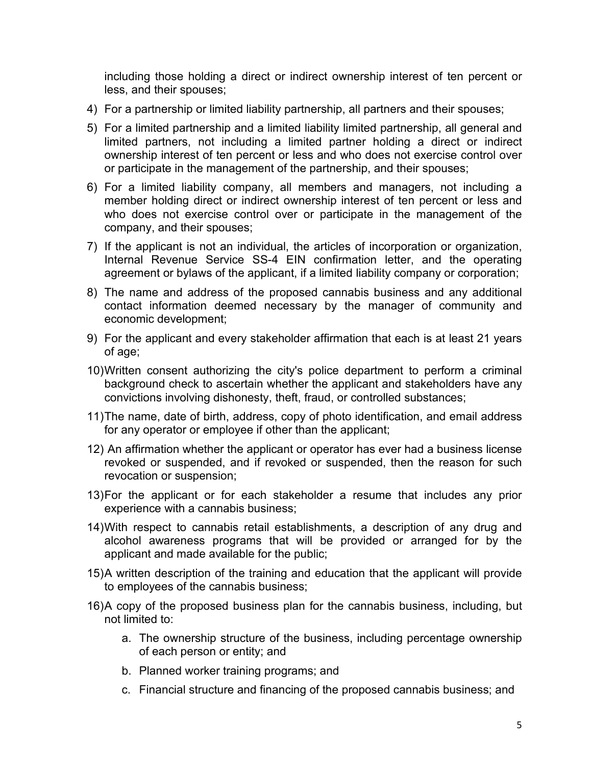including those holding a direct or indirect ownership interest of ten percent or less, and their spouses;

- 4) For a partnership or limited liability partnership, all partners and their spouses;
- 5) For a limited partnership and a limited liability limited partnership, all general and limited partners, not including a limited partner holding a direct or indirect ownership interest of ten percent or less and who does not exercise control over or participate in the management of the partnership, and their spouses;
- 6) For a limited liability company, all members and managers, not including a member holding direct or indirect ownership interest of ten percent or less and who does not exercise control over or participate in the management of the company, and their spouses;
- 7) If the applicant is not an individual, the articles of incorporation or organization, Internal Revenue Service SS-4 EIN confirmation letter, and the operating agreement or bylaws of the applicant, if a limited liability company or corporation;
- 8) The name and address of the proposed cannabis business and any additional contact information deemed necessary by the manager of community and economic development;
- 9) For the applicant and every stakeholder affirmation that each is at least 21 years of age;
- 10)Written consent authorizing the city's police department to perform a criminal background check to ascertain whether the applicant and stakeholders have any convictions involving dishonesty, theft, fraud, or controlled substances;
- 11)The name, date of birth, address, copy of photo identification, and email address for any operator or employee if other than the applicant;
- 12) An affirmation whether the applicant or operator has ever had a business license revoked or suspended, and if revoked or suspended, then the reason for such revocation or suspension;
- 13)For the applicant or for each stakeholder a resume that includes any prior experience with a cannabis business;
- 14) With respect to cannabis retail establishments, a description of any drug and alcohol awareness programs that will be provided or arranged for by the applicant and made available for the public;
- 15)A written description of the training and education that the applicant will provide to employees of the cannabis business;
- 16)A copy of the proposed business plan for the cannabis business, including, but not limited to:
	- a. The ownership structure of the business, including percentage ownership of each person or entity; and
	- b. Planned worker training programs; and
	- c. Financial structure and financing of the proposed cannabis business; and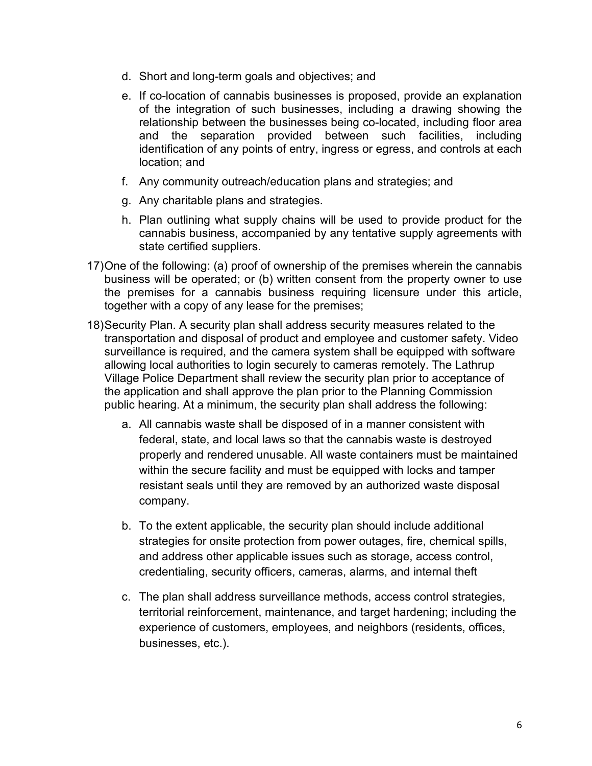- d. Short and long-term goals and objectives; and
- e. If co-location of cannabis businesses is proposed, provide an explanation of the integration of such businesses, including a drawing showing the relationship between the businesses being co-located, including floor area and the separation provided between such facilities, including identification of any points of entry, ingress or egress, and controls at each location; and
- f. Any community outreach/education plans and strategies; and
- g. Any charitable plans and strategies.
- h. Plan outlining what supply chains will be used to provide product for the cannabis business, accompanied by any tentative supply agreements with state certified suppliers.
- 17)One of the following: (a) proof of ownership of the premises wherein the cannabis business will be operated; or (b) written consent from the property owner to use the premises for a cannabis business requiring licensure under this article, together with a copy of any lease for the premises;
- 18)Security Plan. A security plan shall address security measures related to the transportation and disposal of product and employee and customer safety. Video surveillance is required, and the camera system shall be equipped with software allowing local authorities to login securely to cameras remotely. The Lathrup Village Police Department shall review the security plan prior to acceptance of the application and shall approve the plan prior to the Planning Commission public hearing. At a minimum, the security plan shall address the following:
	- a. All cannabis waste shall be disposed of in a manner consistent with federal, state, and local laws so that the cannabis waste is destroyed properly and rendered unusable. All waste containers must be maintained within the secure facility and must be equipped with locks and tamper resistant seals until they are removed by an authorized waste disposal company.
	- b. To the extent applicable, the security plan should include additional strategies for onsite protection from power outages, fire, chemical spills, and address other applicable issues such as storage, access control, credentialing, security officers, cameras, alarms, and internal theft
	- c. The plan shall address surveillance methods, access control strategies, territorial reinforcement, maintenance, and target hardening; including the experience of customers, employees, and neighbors (residents, offices, businesses, etc.).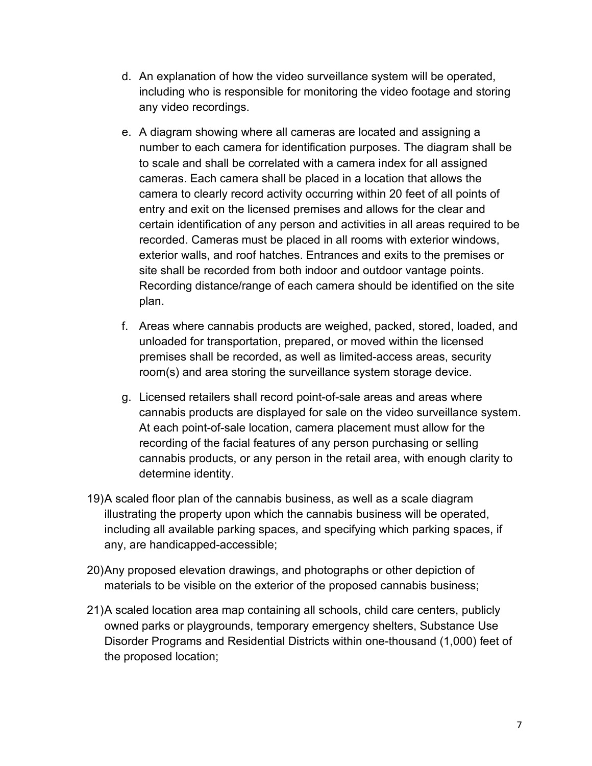- d. An explanation of how the video surveillance system will be operated, including who is responsible for monitoring the video footage and storing any video recordings.
- e. A diagram showing where all cameras are located and assigning a number to each camera for identification purposes. The diagram shall be to scale and shall be correlated with a camera index for all assigned cameras. Each camera shall be placed in a location that allows the camera to clearly record activity occurring within 20 feet of all points of entry and exit on the licensed premises and allows for the clear and certain identification of any person and activities in all areas required to be recorded. Cameras must be placed in all rooms with exterior windows, exterior walls, and roof hatches. Entrances and exits to the premises or site shall be recorded from both indoor and outdoor vantage points. Recording distance/range of each camera should be identified on the site plan.
- f. Areas where cannabis products are weighed, packed, stored, loaded, and unloaded for transportation, prepared, or moved within the licensed premises shall be recorded, as well as limited-access areas, security room(s) and area storing the surveillance system storage device.
- g. Licensed retailers shall record point-of-sale areas and areas where cannabis products are displayed for sale on the video surveillance system. At each point-of-sale location, camera placement must allow for the recording of the facial features of any person purchasing or selling cannabis products, or any person in the retail area, with enough clarity to determine identity.
- 19)A scaled floor plan of the cannabis business, as well as a scale diagram illustrating the property upon which the cannabis business will be operated, including all available parking spaces, and specifying which parking spaces, if any, are handicapped-accessible;
- 20)Any proposed elevation drawings, and photographs or other depiction of materials to be visible on the exterior of the proposed cannabis business;
- 21)A scaled location area map containing all schools, child care centers, publicly owned parks or playgrounds, temporary emergency shelters, Substance Use Disorder Programs and Residential Districts within one-thousand (1,000) feet of the proposed location;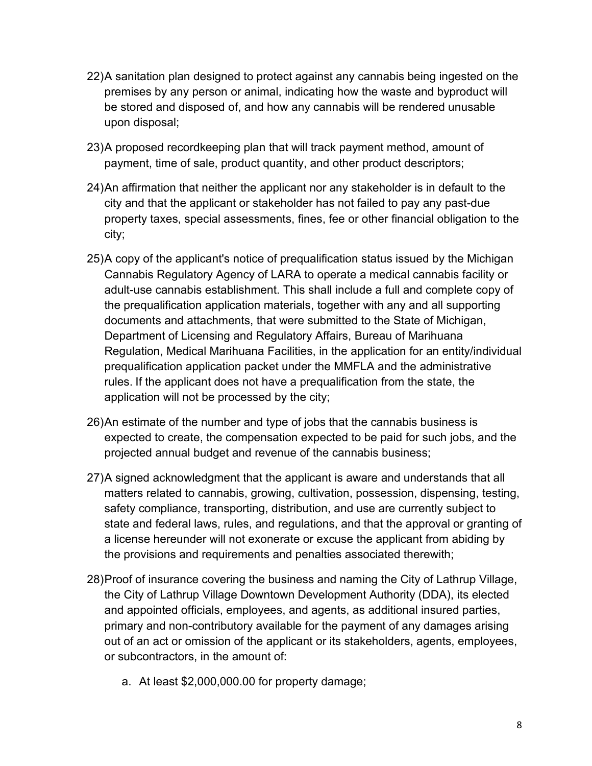- 22)A sanitation plan designed to protect against any cannabis being ingested on the premises by any person or animal, indicating how the waste and byproduct will be stored and disposed of, and how any cannabis will be rendered unusable upon disposal;
- 23)A proposed recordkeeping plan that will track payment method, amount of payment, time of sale, product quantity, and other product descriptors;
- 24)An affirmation that neither the applicant nor any stakeholder is in default to the city and that the applicant or stakeholder has not failed to pay any past-due property taxes, special assessments, fines, fee or other financial obligation to the city;
- 25)A copy of the applicant's notice of prequalification status issued by the Michigan Cannabis Regulatory Agency of LARA to operate a medical cannabis facility or adult-use cannabis establishment. This shall include a full and complete copy of the prequalification application materials, together with any and all supporting documents and attachments, that were submitted to the State of Michigan, Department of Licensing and Regulatory Affairs, Bureau of Marihuana Regulation, Medical Marihuana Facilities, in the application for an entity/individual prequalification application packet under the MMFLA and the administrative rules. If the applicant does not have a prequalification from the state, the application will not be processed by the city;
- 26)An estimate of the number and type of jobs that the cannabis business is expected to create, the compensation expected to be paid for such jobs, and the projected annual budget and revenue of the cannabis business;
- 27)A signed acknowledgment that the applicant is aware and understands that all matters related to cannabis, growing, cultivation, possession, dispensing, testing, safety compliance, transporting, distribution, and use are currently subject to state and federal laws, rules, and regulations, and that the approval or granting of a license hereunder will not exonerate or excuse the applicant from abiding by the provisions and requirements and penalties associated therewith;
- 28)Proof of insurance covering the business and naming the City of Lathrup Village, the City of Lathrup Village Downtown Development Authority (DDA), its elected and appointed officials, employees, and agents, as additional insured parties, primary and non-contributory available for the payment of any damages arising out of an act or omission of the applicant or its stakeholders, agents, employees, or subcontractors, in the amount of:
	- a. At least \$2,000,000.00 for property damage;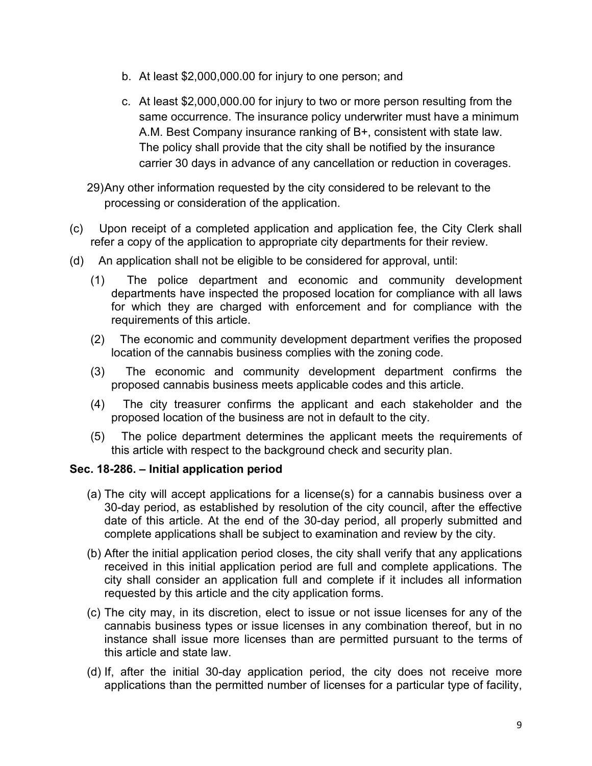- b. At least \$2,000,000.00 for injury to one person; and
- c. At least \$2,000,000.00 for injury to two or more person resulting from the same occurrence. The insurance policy underwriter must have a minimum A.M. Best Company insurance ranking of B+, consistent with state law. The policy shall provide that the city shall be notified by the insurance carrier 30 days in advance of any cancellation or reduction in coverages.

29) Any other information requested by the city considered to be relevant to the processing or consideration of the application.

- (c) Upon receipt of a completed application and application fee, the City Clerk shall refer a copy of the application to appropriate city departments for their review.
- (d) An application shall not be eligible to be considered for approval, until:
	- (1) The police department and economic and community development departments have inspected the proposed location for compliance with all laws for which they are charged with enforcement and for compliance with the requirements of this article.
	- (2) The economic and community development department verifies the proposed location of the cannabis business complies with the zoning code.
	- (3) The economic and community development department confirms the proposed cannabis business meets applicable codes and this article.
	- (4) The city treasurer confirms the applicant and each stakeholder and the proposed location of the business are not in default to the city.
	- (5) The police department determines the applicant meets the requirements of this article with respect to the background check and security plan.

# **Sec. 18-286. – Initial application period**

- (a) The city will accept applications for a license(s) for a cannabis business over a 30-day period, as established by resolution of the city council, after the effective date of this article. At the end of the 30-day period, all properly submitted and complete applications shall be subject to examination and review by the city.
- (b) After the initial application period closes, the city shall verify that any applications received in this initial application period are full and complete applications. The city shall consider an application full and complete if it includes all information requested by this article and the city application forms.
- (c) The city may, in its discretion, elect to issue or not issue licenses for any of the cannabis business types or issue licenses in any combination thereof, but in no instance shall issue more licenses than are permitted pursuant to the terms of this article and state law.
- (d) If, after the initial 30-day application period, the city does not receive more applications than the permitted number of licenses for a particular type of facility,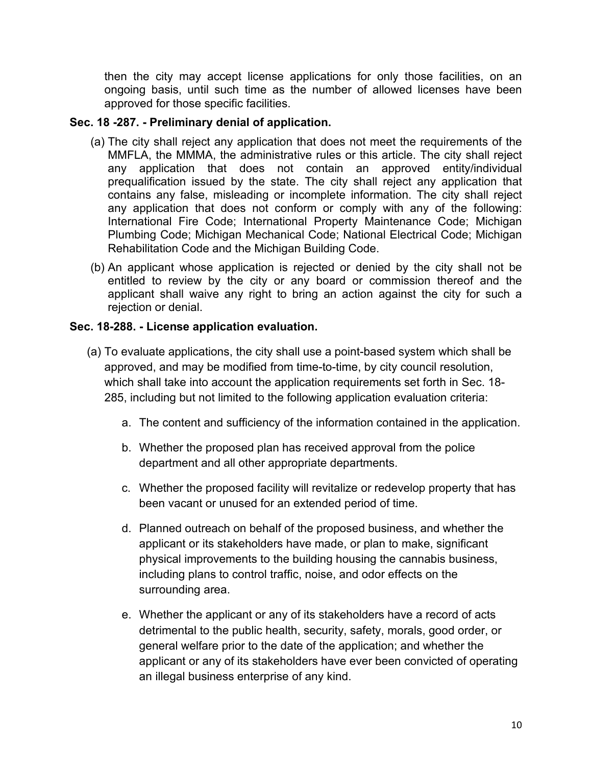then the city may accept license applications for only those facilities, on an ongoing basis, until such time as the number of allowed licenses have been approved for those specific facilities.

## **Sec. 18 -287. - Preliminary denial of application.**

- (a) The city shall reject any application that does not meet the requirements of the MMFLA, the MMMA, the administrative rules or this article. The city shall reject any application that does not contain an approved entity/individual prequalification issued by the state. The city shall reject any application that contains any false, misleading or incomplete information. The city shall reject any application that does not conform or comply with any of the following: International Fire Code; International Property Maintenance Code; Michigan Plumbing Code; Michigan Mechanical Code; National Electrical Code; Michigan Rehabilitation Code and the Michigan Building Code.
- (b) An applicant whose application is rejected or denied by the city shall not be entitled to review by the city or any board or commission thereof and the applicant shall waive any right to bring an action against the city for such a rejection or denial.

## **Sec. 18-288. - License application evaluation.**

- (a) To evaluate applications, the city shall use a point-based system which shall be approved, and may be modified from time-to-time, by city council resolution, which shall take into account the application requirements set forth in Sec. 18- 285, including but not limited to the following application evaluation criteria:
	- a. The content and sufficiency of the information contained in the application.
	- b. Whether the proposed plan has received approval from the police department and all other appropriate departments.
	- c. Whether the proposed facility will revitalize or redevelop property that has been vacant or unused for an extended period of time.
	- d. Planned outreach on behalf of the proposed business, and whether the applicant or its stakeholders have made, or plan to make, significant physical improvements to the building housing the cannabis business, including plans to control traffic, noise, and odor effects on the surrounding area.
	- e. Whether the applicant or any of its stakeholders have a record of acts detrimental to the public health, security, safety, morals, good order, or general welfare prior to the date of the application; and whether the applicant or any of its stakeholders have ever been convicted of operating an illegal business enterprise of any kind.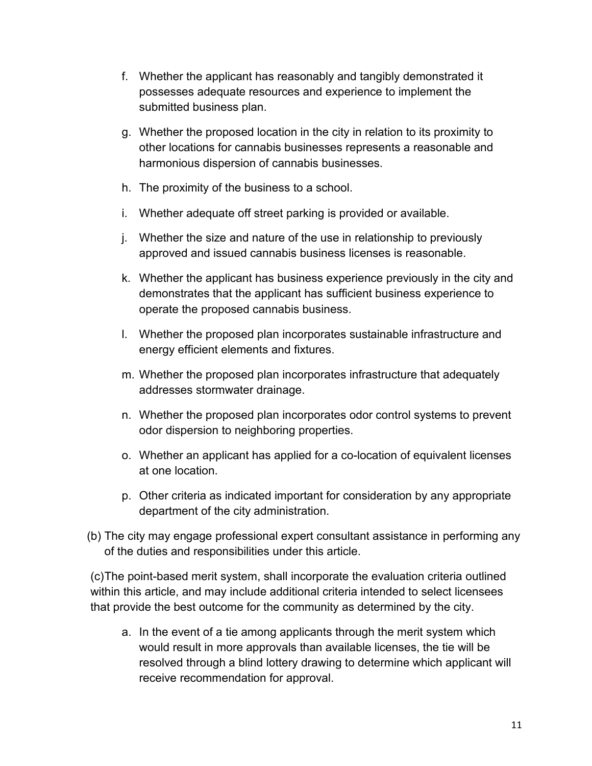- f. Whether the applicant has reasonably and tangibly demonstrated it possesses adequate resources and experience to implement the submitted business plan.
- g. Whether the proposed location in the city in relation to its proximity to other locations for cannabis businesses represents a reasonable and harmonious dispersion of cannabis businesses.
- h. The proximity of the business to a school.
- i. Whether adequate off street parking is provided or available.
- j. Whether the size and nature of the use in relationship to previously approved and issued cannabis business licenses is reasonable.
- k. Whether the applicant has business experience previously in the city and demonstrates that the applicant has sufficient business experience to operate the proposed cannabis business.
- l. Whether the proposed plan incorporates sustainable infrastructure and energy efficient elements and fixtures.
- m. Whether the proposed plan incorporates infrastructure that adequately addresses stormwater drainage.
- n. Whether the proposed plan incorporates odor control systems to prevent odor dispersion to neighboring properties.
- o. Whether an applicant has applied for a co-location of equivalent licenses at one location.
- p. Other criteria as indicated important for consideration by any appropriate department of the city administration.
- (b) The city may engage professional expert consultant assistance in performing any of the duties and responsibilities under this article.

(c)The point-based merit system, shall incorporate the evaluation criteria outlined within this article, and may include additional criteria intended to select licensees that provide the best outcome for the community as determined by the city.

a. In the event of a tie among applicants through the merit system which would result in more approvals than available licenses, the tie will be resolved through a blind lottery drawing to determine which applicant will receive recommendation for approval.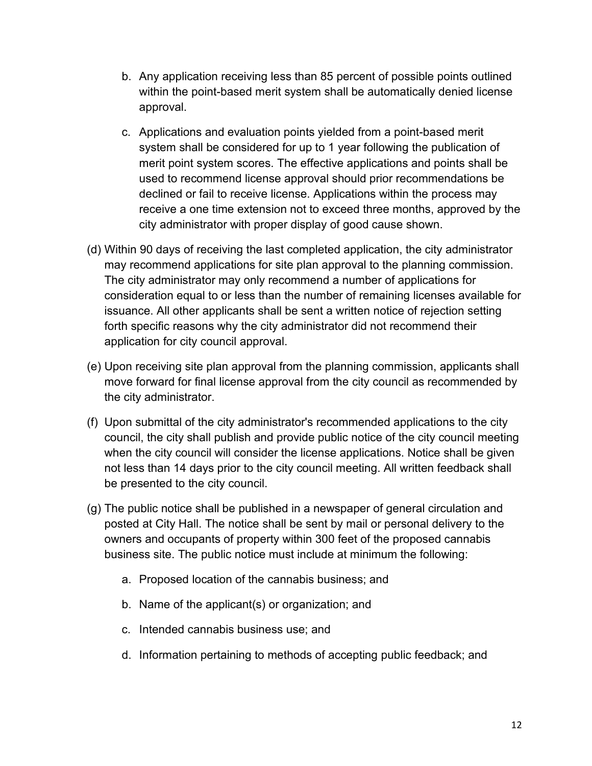- b. Any application receiving less than 85 percent of possible points outlined within the point-based merit system shall be automatically denied license approval.
- c. Applications and evaluation points yielded from a point-based merit system shall be considered for up to 1 year following the publication of merit point system scores. The effective applications and points shall be used to recommend license approval should prior recommendations be declined or fail to receive license. Applications within the process may receive a one time extension not to exceed three months, approved by the city administrator with proper display of good cause shown.
- (d) Within 90 days of receiving the last completed application, the city administrator may recommend applications for site plan approval to the planning commission. The city administrator may only recommend a number of applications for consideration equal to or less than the number of remaining licenses available for issuance. All other applicants shall be sent a written notice of rejection setting forth specific reasons why the city administrator did not recommend their application for city council approval.
- (e) Upon receiving site plan approval from the planning commission, applicants shall move forward for final license approval from the city council as recommended by the city administrator.
- (f) Upon submittal of the city administrator's recommended applications to the city council, the city shall publish and provide public notice of the city council meeting when the city council will consider the license applications. Notice shall be given not less than 14 days prior to the city council meeting. All written feedback shall be presented to the city council.
- (g) The public notice shall be published in a newspaper of general circulation and posted at City Hall. The notice shall be sent by mail or personal delivery to the owners and occupants of property within 300 feet of the proposed cannabis business site. The public notice must include at minimum the following:
	- a. Proposed location of the cannabis business; and
	- b. Name of the applicant(s) or organization; and
	- c. Intended cannabis business use; and
	- d. Information pertaining to methods of accepting public feedback; and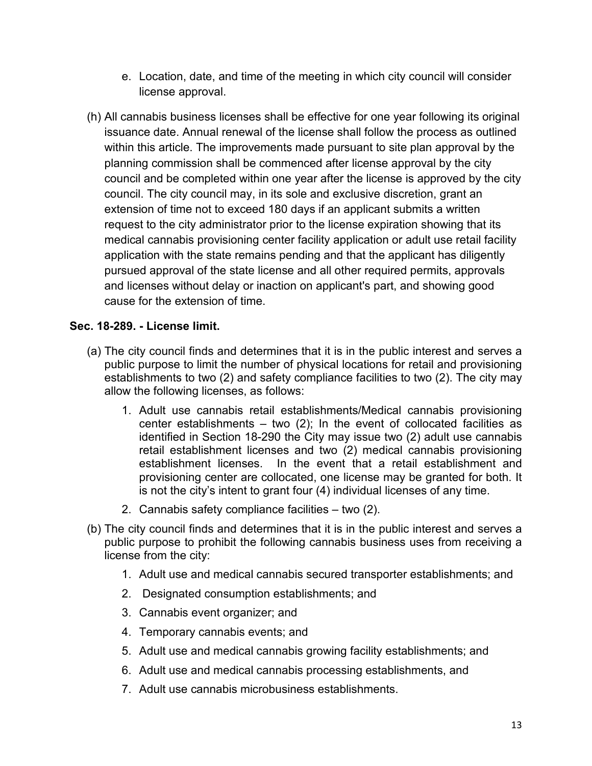- e. Location, date, and time of the meeting in which city council will consider license approval.
- (h) All cannabis business licenses shall be effective for one year following its original issuance date. Annual renewal of the license shall follow the process as outlined within this article. The improvements made pursuant to site plan approval by the planning commission shall be commenced after license approval by the city council and be completed within one year after the license is approved by the city council. The city council may, in its sole and exclusive discretion, grant an extension of time not to exceed 180 days if an applicant submits a written request to the city administrator prior to the license expiration showing that its medical cannabis provisioning center facility application or adult use retail facility application with the state remains pending and that the applicant has diligently pursued approval of the state license and all other required permits, approvals and licenses without delay or inaction on applicant's part, and showing good cause for the extension of time.

# **Sec. 18-289. - License limit.**

- (a) The city council finds and determines that it is in the public interest and serves a public purpose to limit the number of physical locations for retail and provisioning establishments to two (2) and safety compliance facilities to two (2). The city may allow the following licenses, as follows:
	- 1. Adult use cannabis retail establishments/Medical cannabis provisioning center establishments  $-$  two (2); In the event of collocated facilities as identified in Section 18-290 the City may issue two (2) adult use cannabis retail establishment licenses and two (2) medical cannabis provisioning establishment licenses. In the event that a retail establishment and provisioning center are collocated, one license may be granted for both. It is not the city's intent to grant four (4) individual licenses of any time.
	- 2. Cannabis safety compliance facilities two (2).
- (b) The city council finds and determines that it is in the public interest and serves a public purpose to prohibit the following cannabis business uses from receiving a license from the city:
	- 1. Adult use and medical cannabis secured transporter establishments; and
	- 2. Designated consumption establishments; and
	- 3. Cannabis event organizer; and
	- 4. Temporary cannabis events; and
	- 5. Adult use and medical cannabis growing facility establishments; and
	- 6. Adult use and medical cannabis processing establishments, and
	- 7. Adult use cannabis microbusiness establishments.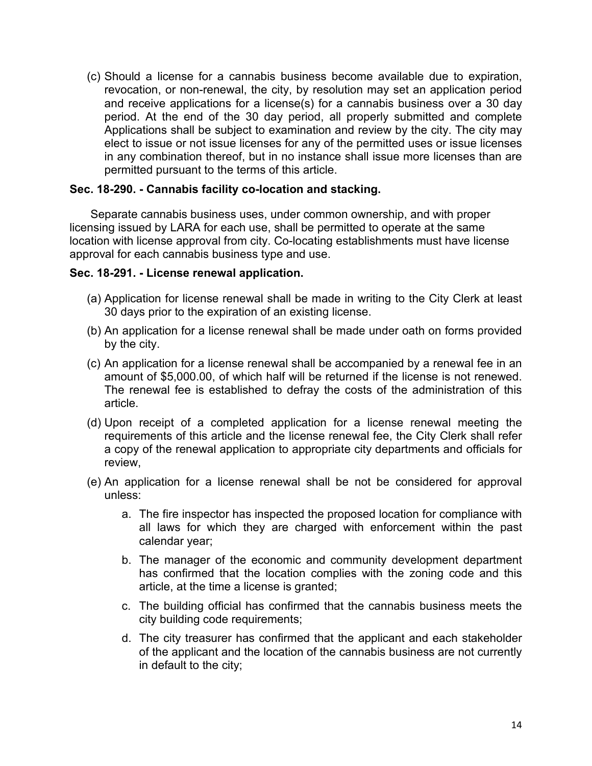(c) Should a license for a cannabis business become available due to expiration, revocation, or non-renewal, the city, by resolution may set an application period and receive applications for a license(s) for a cannabis business over a 30 day period. At the end of the 30 day period, all properly submitted and complete Applications shall be subject to examination and review by the city. The city may elect to issue or not issue licenses for any of the permitted uses or issue licenses in any combination thereof, but in no instance shall issue more licenses than are permitted pursuant to the terms of this article.

### **Sec. 18-290. - Cannabis facility co-location and stacking.**

Separate cannabis business uses, under common ownership, and with proper licensing issued by LARA for each use, shall be permitted to operate at the same location with license approval from city. Co-locating establishments must have license approval for each cannabis business type and use.

#### **Sec. 18-291. - License renewal application.**

- (a) Application for license renewal shall be made in writing to the City Clerk at least 30 days prior to the expiration of an existing license.
- (b) An application for a license renewal shall be made under oath on forms provided by the city.
- (c) An application for a license renewal shall be accompanied by a renewal fee in an amount of \$5,000.00, of which half will be returned if the license is not renewed. The renewal fee is established to defray the costs of the administration of this article.
- (d) Upon receipt of a completed application for a license renewal meeting the requirements of this article and the license renewal fee, the City Clerk shall refer a copy of the renewal application to appropriate city departments and officials for review,
- (e) An application for a license renewal shall be not be considered for approval unless:
	- a. The fire inspector has inspected the proposed location for compliance with all laws for which they are charged with enforcement within the past calendar year;
	- b. The manager of the economic and community development department has confirmed that the location complies with the zoning code and this article, at the time a license is granted;
	- c. The building official has confirmed that the cannabis business meets the city building code requirements;
	- d. The city treasurer has confirmed that the applicant and each stakeholder of the applicant and the location of the cannabis business are not currently in default to the city;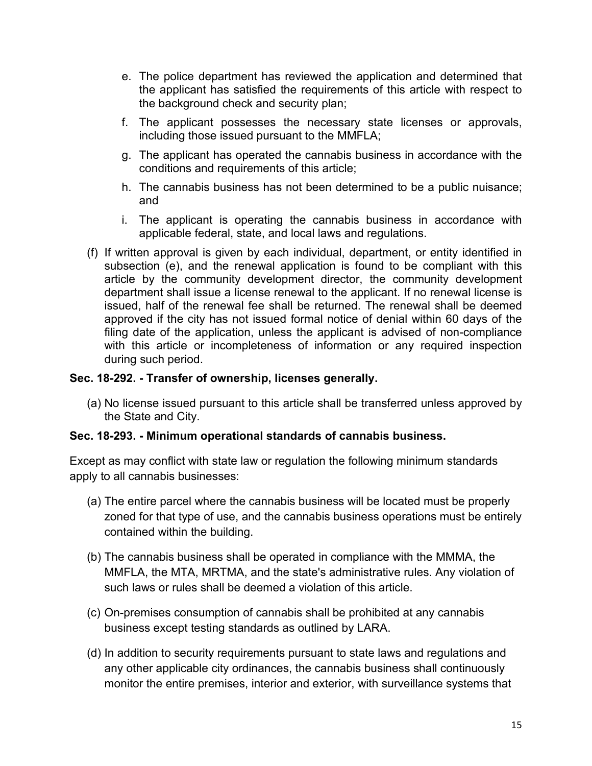- e. The police department has reviewed the application and determined that the applicant has satisfied the requirements of this article with respect to the background check and security plan;
- f. The applicant possesses the necessary state licenses or approvals, including those issued pursuant to the MMFLA;
- g. The applicant has operated the cannabis business in accordance with the conditions and requirements of this article;
- h. The cannabis business has not been determined to be a public nuisance; and
- i. The applicant is operating the cannabis business in accordance with applicable federal, state, and local laws and regulations.
- (f) If written approval is given by each individual, department, or entity identified in subsection (e), and the renewal application is found to be compliant with this article by the community development director, the community development department shall issue a license renewal to the applicant. If no renewal license is issued, half of the renewal fee shall be returned. The renewal shall be deemed approved if the city has not issued formal notice of denial within 60 days of the filing date of the application, unless the applicant is advised of non-compliance with this article or incompleteness of information or any required inspection during such period.

# **Sec. 18-292. - Transfer of ownership, licenses generally.**

(a) No license issued pursuant to this article shall be transferred unless approved by the State and City.

# **Sec. 18-293. - Minimum operational standards of cannabis business.**

Except as may conflict with state law or regulation the following minimum standards apply to all cannabis businesses:

- (a) The entire parcel where the cannabis business will be located must be properly zoned for that type of use, and the cannabis business operations must be entirely contained within the building.
- (b) The cannabis business shall be operated in compliance with the MMMA, the MMFLA, the MTA, MRTMA, and the state's administrative rules. Any violation of such laws or rules shall be deemed a violation of this article.
- (c) On-premises consumption of cannabis shall be prohibited at any cannabis business except testing standards as outlined by LARA.
- (d) In addition to security requirements pursuant to state laws and regulations and any other applicable city ordinances, the cannabis business shall continuously monitor the entire premises, interior and exterior, with surveillance systems that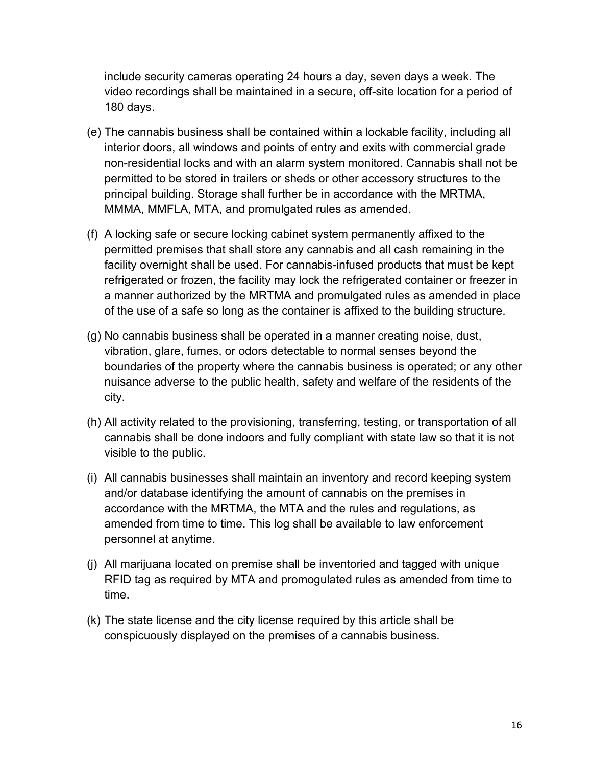include security cameras operating 24 hours a day, seven days a week. The video recordings shall be maintained in a secure, off-site location for a period of 180 days.

- (e) The cannabis business shall be contained within a lockable facility, including all interior doors, all windows and points of entry and exits with commercial grade non-residential locks and with an alarm system monitored. Cannabis shall not be permitted to be stored in trailers or sheds or other accessory structures to the principal building. Storage shall further be in accordance with the MRTMA, MMMA, MMFLA, MTA, and promulgated rules as amended.
- (f) A locking safe or secure locking cabinet system permanently affixed to the permitted premises that shall store any cannabis and all cash remaining in the facility overnight shall be used. For cannabis-infused products that must be kept refrigerated or frozen, the facility may lock the refrigerated container or freezer in a manner authorized by the MRTMA and promulgated rules as amended in place of the use of a safe so long as the container is affixed to the building structure.
- (g) No cannabis business shall be operated in a manner creating noise, dust, vibration, glare, fumes, or odors detectable to normal senses beyond the boundaries of the property where the cannabis business is operated; or any other nuisance adverse to the public health, safety and welfare of the residents of the city.
- (h) All activity related to the provisioning, transferring, testing, or transportation of all cannabis shall be done indoors and fully compliant with state law so that it is not visible to the public.
- (i) All cannabis businesses shall maintain an inventory and record keeping system and/or database identifying the amount of cannabis on the premises in accordance with the MRTMA, the MTA and the rules and regulations, as amended from time to time. This log shall be available to law enforcement personnel at anytime.
- (j) All marijuana located on premise shall be inventoried and tagged with unique RFID tag as required by MTA and promogulated rules as amended from time to time.
- (k) The state license and the city license required by this article shall be conspicuously displayed on the premises of a cannabis business.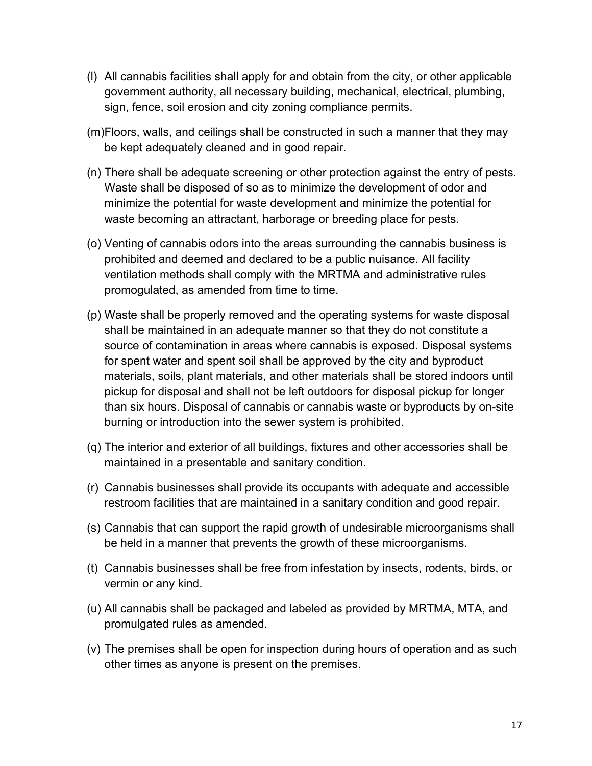- (l) All cannabis facilities shall apply for and obtain from the city, or other applicable government authority, all necessary building, mechanical, electrical, plumbing, sign, fence, soil erosion and city zoning compliance permits.
- (m)Floors, walls, and ceilings shall be constructed in such a manner that they may be kept adequately cleaned and in good repair.
- (n) There shall be adequate screening or other protection against the entry of pests. Waste shall be disposed of so as to minimize the development of odor and minimize the potential for waste development and minimize the potential for waste becoming an attractant, harborage or breeding place for pests.
- (o) Venting of cannabis odors into the areas surrounding the cannabis business is prohibited and deemed and declared to be a public nuisance. All facility ventilation methods shall comply with the MRTMA and administrative rules promogulated, as amended from time to time.
- (p) Waste shall be properly removed and the operating systems for waste disposal shall be maintained in an adequate manner so that they do not constitute a source of contamination in areas where cannabis is exposed. Disposal systems for spent water and spent soil shall be approved by the city and byproduct materials, soils, plant materials, and other materials shall be stored indoors until pickup for disposal and shall not be left outdoors for disposal pickup for longer than six hours. Disposal of cannabis or cannabis waste or byproducts by on-site burning or introduction into the sewer system is prohibited.
- (q) The interior and exterior of all buildings, fixtures and other accessories shall be maintained in a presentable and sanitary condition.
- (r) Cannabis businesses shall provide its occupants with adequate and accessible restroom facilities that are maintained in a sanitary condition and good repair.
- (s) Cannabis that can support the rapid growth of undesirable microorganisms shall be held in a manner that prevents the growth of these microorganisms.
- (t) Cannabis businesses shall be free from infestation by insects, rodents, birds, or vermin or any kind.
- (u) All cannabis shall be packaged and labeled as provided by MRTMA, MTA, and promulgated rules as amended.
- (v) The premises shall be open for inspection during hours of operation and as such other times as anyone is present on the premises.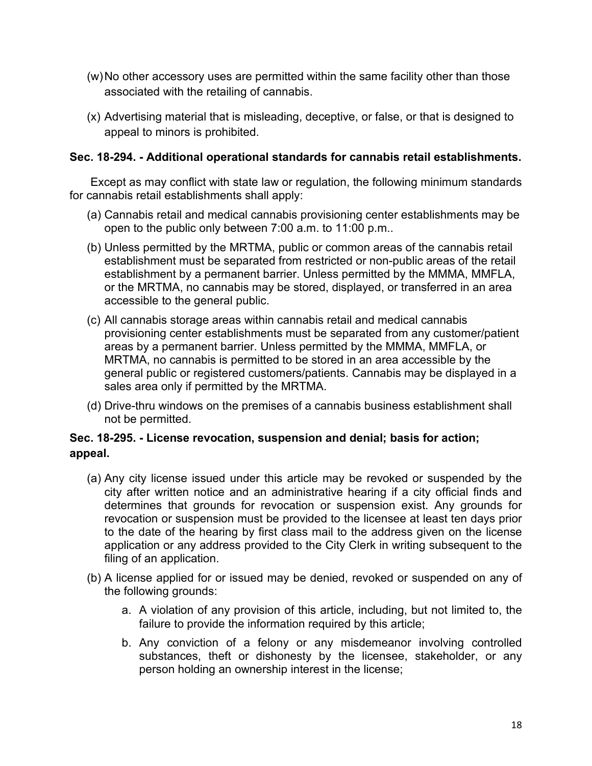- (w)No other accessory uses are permitted within the same facility other than those associated with the retailing of cannabis.
- (x) Advertising material that is misleading, deceptive, or false, or that is designed to appeal to minors is prohibited.

## **Sec. 18-294. - Additional operational standards for cannabis retail establishments.**

Except as may conflict with state law or regulation, the following minimum standards for cannabis retail establishments shall apply:

- (a) Cannabis retail and medical cannabis provisioning center establishments may be open to the public only between 7:00 a.m. to 11:00 p.m..
- (b) Unless permitted by the MRTMA, public or common areas of the cannabis retail establishment must be separated from restricted or non-public areas of the retail establishment by a permanent barrier. Unless permitted by the MMMA, MMFLA, or the MRTMA, no cannabis may be stored, displayed, or transferred in an area accessible to the general public.
- (c) All cannabis storage areas within cannabis retail and medical cannabis provisioning center establishments must be separated from any customer/patient areas by a permanent barrier. Unless permitted by the MMMA, MMFLA, or MRTMA, no cannabis is permitted to be stored in an area accessible by the general public or registered customers/patients. Cannabis may be displayed in a sales area only if permitted by the MRTMA.
- (d) Drive-thru windows on the premises of a cannabis business establishment shall not be permitted.

# **Sec. 18-295. - License revocation, suspension and denial; basis for action; appeal.**

- (a) Any city license issued under this article may be revoked or suspended by the city after written notice and an administrative hearing if a city official finds and determines that grounds for revocation or suspension exist. Any grounds for revocation or suspension must be provided to the licensee at least ten days prior to the date of the hearing by first class mail to the address given on the license application or any address provided to the City Clerk in writing subsequent to the filing of an application.
- (b) A license applied for or issued may be denied, revoked or suspended on any of the following grounds:
	- a. A violation of any provision of this article, including, but not limited to, the failure to provide the information required by this article;
	- b. Any conviction of a felony or any misdemeanor involving controlled substances, theft or dishonesty by the licensee, stakeholder, or any person holding an ownership interest in the license;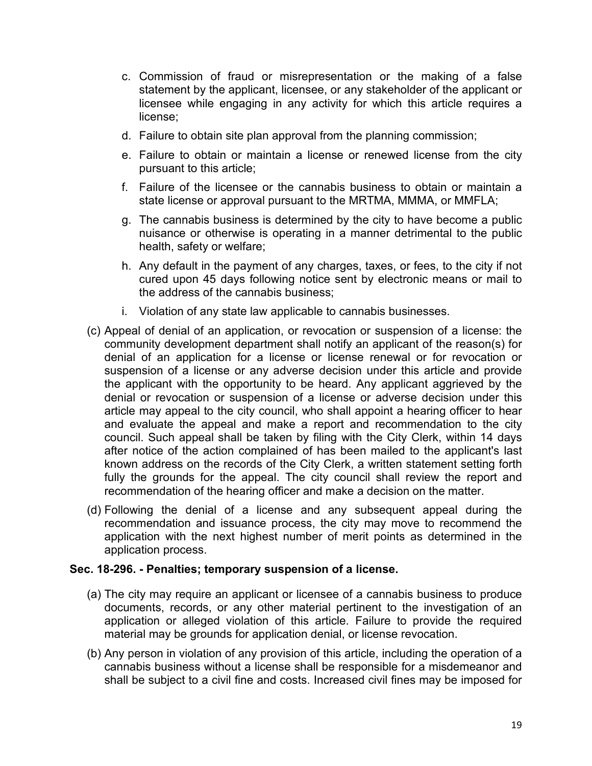- c. Commission of fraud or misrepresentation or the making of a false statement by the applicant, licensee, or any stakeholder of the applicant or licensee while engaging in any activity for which this article requires a license;
- d. Failure to obtain site plan approval from the planning commission;
- e. Failure to obtain or maintain a license or renewed license from the city pursuant to this article;
- f. Failure of the licensee or the cannabis business to obtain or maintain a state license or approval pursuant to the MRTMA, MMMA, or MMFLA;
- g. The cannabis business is determined by the city to have become a public nuisance or otherwise is operating in a manner detrimental to the public health, safety or welfare;
- h. Any default in the payment of any charges, taxes, or fees, to the city if not cured upon 45 days following notice sent by electronic means or mail to the address of the cannabis business;
- i. Violation of any state law applicable to cannabis businesses.
- (c) Appeal of denial of an application, or revocation or suspension of a license: the community development department shall notify an applicant of the reason(s) for denial of an application for a license or license renewal or for revocation or suspension of a license or any adverse decision under this article and provide the applicant with the opportunity to be heard. Any applicant aggrieved by the denial or revocation or suspension of a license or adverse decision under this article may appeal to the city council, who shall appoint a hearing officer to hear and evaluate the appeal and make a report and recommendation to the city council. Such appeal shall be taken by filing with the City Clerk, within 14 days after notice of the action complained of has been mailed to the applicant's last known address on the records of the City Clerk, a written statement setting forth fully the grounds for the appeal. The city council shall review the report and recommendation of the hearing officer and make a decision on the matter.
- (d) Following the denial of a license and any subsequent appeal during the recommendation and issuance process, the city may move to recommend the application with the next highest number of merit points as determined in the application process.

#### **Sec. 18-296. - Penalties; temporary suspension of a license.**

- (a) The city may require an applicant or licensee of a cannabis business to produce documents, records, or any other material pertinent to the investigation of an application or alleged violation of this article. Failure to provide the required material may be grounds for application denial, or license revocation.
- (b) Any person in violation of any provision of this article, including the operation of a cannabis business without a license shall be responsible for a misdemeanor and shall be subject to a civil fine and costs. Increased civil fines may be imposed for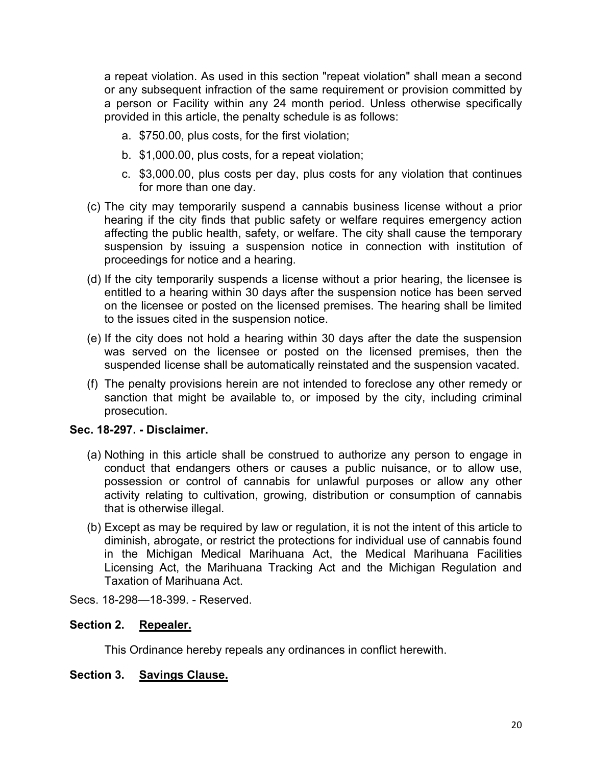a repeat violation. As used in this section "repeat violation" shall mean a second or any subsequent infraction of the same requirement or provision committed by a person or Facility within any 24 month period. Unless otherwise specifically provided in this article, the penalty schedule is as follows:

- a. \$750.00, plus costs, for the first violation;
- b. \$1,000.00, plus costs, for a repeat violation;
- c. \$3,000.00, plus costs per day, plus costs for any violation that continues for more than one day.
- (c) The city may temporarily suspend a cannabis business license without a prior hearing if the city finds that public safety or welfare requires emergency action affecting the public health, safety, or welfare. The city shall cause the temporary suspension by issuing a suspension notice in connection with institution of proceedings for notice and a hearing.
- (d) If the city temporarily suspends a license without a prior hearing, the licensee is entitled to a hearing within 30 days after the suspension notice has been served on the licensee or posted on the licensed premises. The hearing shall be limited to the issues cited in the suspension notice.
- (e) If the city does not hold a hearing within 30 days after the date the suspension was served on the licensee or posted on the licensed premises, then the suspended license shall be automatically reinstated and the suspension vacated.
- (f) The penalty provisions herein are not intended to foreclose any other remedy or sanction that might be available to, or imposed by the city, including criminal prosecution.

# **Sec. 18-297. - Disclaimer.**

- (a) Nothing in this article shall be construed to authorize any person to engage in conduct that endangers others or causes a public nuisance, or to allow use, possession or control of cannabis for unlawful purposes or allow any other activity relating to cultivation, growing, distribution or consumption of cannabis that is otherwise illegal.
- (b) Except as may be required by law or regulation, it is not the intent of this article to diminish, abrogate, or restrict the protections for individual use of cannabis found in the Michigan Medical Marihuana Act, the Medical Marihuana Facilities Licensing Act, the Marihuana Tracking Act and the Michigan Regulation and Taxation of Marihuana Act.

Secs. 18-298—18-399. - Reserved.

# **Section 2. Repealer.**

This Ordinance hereby repeals any ordinances in conflict herewith.

### **Section 3. Savings Clause.**